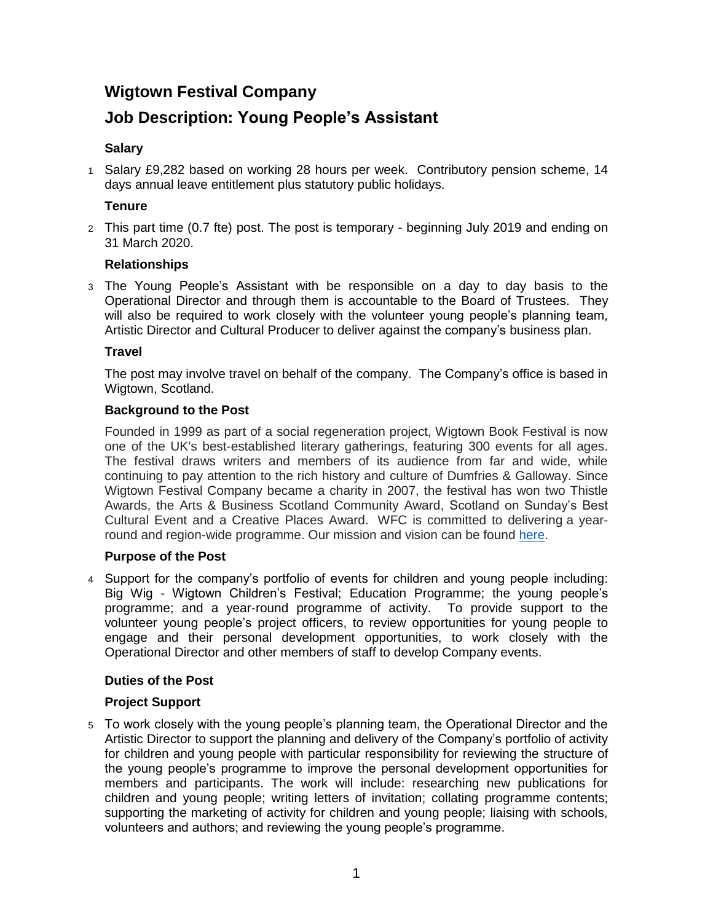# **Wigtown Festival Company**

# **Job Description: Young People's Assistant**

# **Salary**

1 Salary £9,282 based on working 28 hours per week. Contributory pension scheme, 14 days annual leave entitlement plus statutory public holidays.

## **Tenure**

2 This part time (0.7 fte) post. The post is temporary - beginning July 2019 and ending on 31 March 2020.

## **Relationships**

3 The Young People's Assistant with be responsible on a day to day basis to the Operational Director and through them is accountable to the Board of Trustees. They will also be required to work closely with the volunteer young people's planning team, Artistic Director and Cultural Producer to deliver against the company's business plan.

## **Travel**

The post may involve travel on behalf of the company. The Company's office is based in Wigtown, Scotland.

## **Background to the Post**

Founded in 1999 as part of a social regeneration project, Wigtown Book Festival is now one of the UK's best-established literary gatherings, featuring 300 events for all ages. The festival draws writers and members of its audience from far and wide, while continuing to pay attention to the rich history and culture of Dumfries & Galloway. Since Wigtown Festival Company became a charity in 2007, the festival has won two Thistle Awards, the Arts & Business Scotland Community Award, Scotland on Sunday's Best Cultural Event and a Creative Places Award. WFC is committed to delivering a yearround and region-wide programme. Our mission and vision can be found [here.](http://www.wigtownbookfestival.com/about/our-mission)

## **Purpose of the Post**

4 Support for the company's portfolio of events for children and young people including: Big Wig - Wigtown Children's Festival; Education Programme; the young people's programme; and a year-round programme of activity. To provide support to the volunteer young people's project officers, to review opportunities for young people to engage and their personal development opportunities, to work closely with the Operational Director and other members of staff to develop Company events.

# **Duties of the Post**

## **Project Support**

5 To work closely with the young people's planning team, the Operational Director and the Artistic Director to support the planning and delivery of the Company's portfolio of activity for children and young people with particular responsibility for reviewing the structure of the young people's programme to improve the personal development opportunities for members and participants. The work will include: researching new publications for children and young people; writing letters of invitation; collating programme contents; supporting the marketing of activity for children and young people; liaising with schools, volunteers and authors; and reviewing the young people's programme.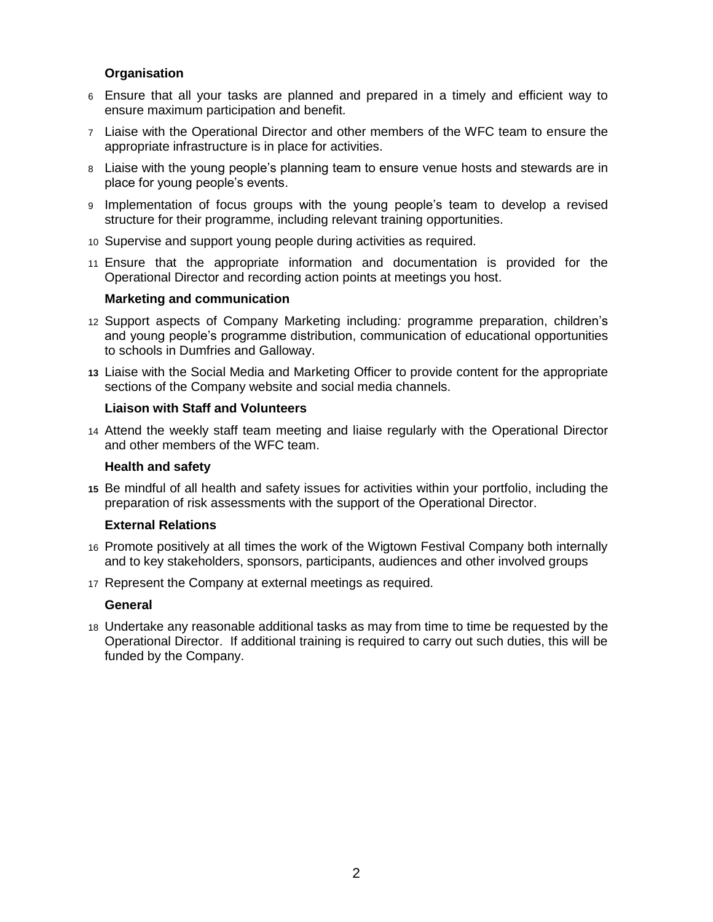## **Organisation**

- 6 Ensure that all your tasks are planned and prepared in a timely and efficient way to ensure maximum participation and benefit.
- 7 Liaise with the Operational Director and other members of the WFC team to ensure the appropriate infrastructure is in place for activities.
- 8 Liaise with the young people's planning team to ensure venue hosts and stewards are in place for young people's events.
- 9 Implementation of focus groups with the young people's team to develop a revised structure for their programme, including relevant training opportunities.
- 10 Supervise and support young people during activities as required.
- 11 Ensure that the appropriate information and documentation is provided for the Operational Director and recording action points at meetings you host.

### **Marketing and communication**

- 12 Support aspects of Company Marketing including*:* programme preparation, children's and young people's programme distribution, communication of educational opportunities to schools in Dumfries and Galloway.
- **13** Liaise with the Social Media and Marketing Officer to provide content for the appropriate sections of the Company website and social media channels.

### **Liaison with Staff and Volunteers**

14 Attend the weekly staff team meeting and liaise regularly with the Operational Director and other members of the WFC team.

#### **Health and safety**

**15** Be mindful of all health and safety issues for activities within your portfolio, including the preparation of risk assessments with the support of the Operational Director.

#### **External Relations**

- 16 Promote positively at all times the work of the Wigtown Festival Company both internally and to key stakeholders, sponsors, participants, audiences and other involved groups
- 17 Represent the Company at external meetings as required.

#### **General**

18 Undertake any reasonable additional tasks as may from time to time be requested by the Operational Director. If additional training is required to carry out such duties, this will be funded by the Company.